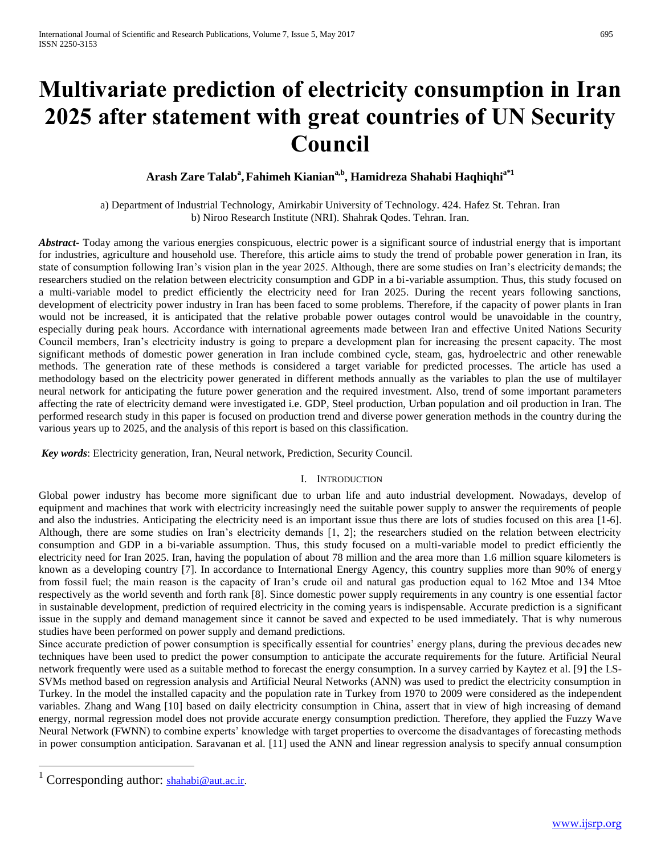# **Multivariate prediction of electricity consumption in Iran 2025 after statement with great countries of UN Security Council**

# $\boldsymbol{\Lambda}$ rash Zare Talab $^{\mathrm{a}},$ Fahimeh Kianian $^{\mathrm{a},\mathrm{b}},$  Hamidreza Shahabi Haqhiqhi $^{\mathrm{a}^{\mathrm{s}}\mathrm{1}}$

a) Department of Industrial Technology, Amirkabir University of Technology. 424. Hafez St. Tehran. Iran b) Niroo Research Institute (NRI). Shahrak Qodes. Tehran. Iran.

*Abstract***-** Today among the various energies conspicuous, electric power is a significant source of industrial energy that is important for industries, agriculture and household use. Therefore, this article aims to study the trend of probable power generation in Iran, its state of consumption following Iran's vision plan in the year 2025. Although, there are some studies on Iran's electricity demands; the researchers studied on the relation between electricity consumption and GDP in a bi-variable assumption. Thus, this study focused on a multi-variable model to predict efficiently the electricity need for Iran 2025. During the recent years following sanctions, development of electricity power industry in Iran has been faced to some problems. Therefore, if the capacity of power plants in Iran would not be increased, it is anticipated that the relative probable power outages control would be unavoidable in the country, especially during peak hours. Accordance with international agreements made between Iran and effective United Nations Security Council members, Iran's electricity industry is going to prepare a development plan for increasing the present capacity. The most significant methods of domestic power generation in Iran include combined cycle, steam, gas, hydroelectric and other renewable methods. The generation rate of these methods is considered a target variable for predicted processes. The article has used a methodology based on the electricity power generated in different methods annually as the variables to plan the use of multilayer neural network for anticipating the future power generation and the required investment. Also, trend of some important parameters affecting the rate of electricity demand were investigated i.e. GDP, Steel production, Urban population and oil production in Iran. The performed research study in this paper is focused on production trend and diverse power generation methods in the country during the various years up to 2025, and the analysis of this report is based on this classification.

*Key words*: Electricity generation, Iran, Neural network, Prediction, Security Council.

# I. INTRODUCTION

Global power industry has become more significant due to urban life and auto industrial development. Nowadays, develop of equipment and machines that work with electricity increasingly need the suitable power supply to answer the requirements of people and also the industries. Anticipating the electricity need is an important issue thus there are lots of studies focused on this area [1-6]. Although, there are some studies on Iran's electricity demands [1, 2]; the researchers studied on the relation between electricity consumption and GDP in a bi-variable assumption. Thus, this study focused on a multi-variable model to predict efficiently the electricity need for Iran 2025. Iran, having the population of about 78 million and the area more than 1.6 million square kilometers is known as a developing country [7]. In accordance to International Energy Agency, this country supplies more than 90% of energy from fossil fuel; the main reason is the capacity of Iran's crude oil and natural gas production equal to 162 Mtoe and 134 Mtoe respectively as the world seventh and forth rank [8]. Since domestic power supply requirements in any country is one essential factor in sustainable development, prediction of required electricity in the coming years is indispensable. Accurate prediction is a significant issue in the supply and demand management since it cannot be saved and expected to be used immediately. That is why numerous studies have been performed on power supply and demand predictions.

Since accurate prediction of power consumption is specifically essential for countries' energy plans, during the previous decades new techniques have been used to predict the power consumption to anticipate the accurate requirements for the future. Artificial Neural network frequently were used as a suitable method to forecast the energy consumption. In a survey carried by Kaytez et al. [9] the LS-SVMs method based on regression analysis and Artificial Neural Networks (ANN) was used to predict the electricity consumption in Turkey. In the model the installed capacity and the population rate in Turkey from 1970 to 2009 were considered as the independent variables. Zhang and Wang [10] based on daily electricity consumption in China, assert that in view of high increasing of demand energy, normal regression model does not provide accurate energy consumption prediction. Therefore, they applied the Fuzzy Wave Neural Network (FWNN) to combine experts' knowledge with target properties to overcome the disadvantages of forecasting methods in power consumption anticipation. Saravanan et al. [11] used the ANN and linear regression analysis to specify annual consumption

 $\overline{a}$ 

Corresponding author: [shahabi@aut.ac.ir.](mailto:shahabi@aut.ac.ir)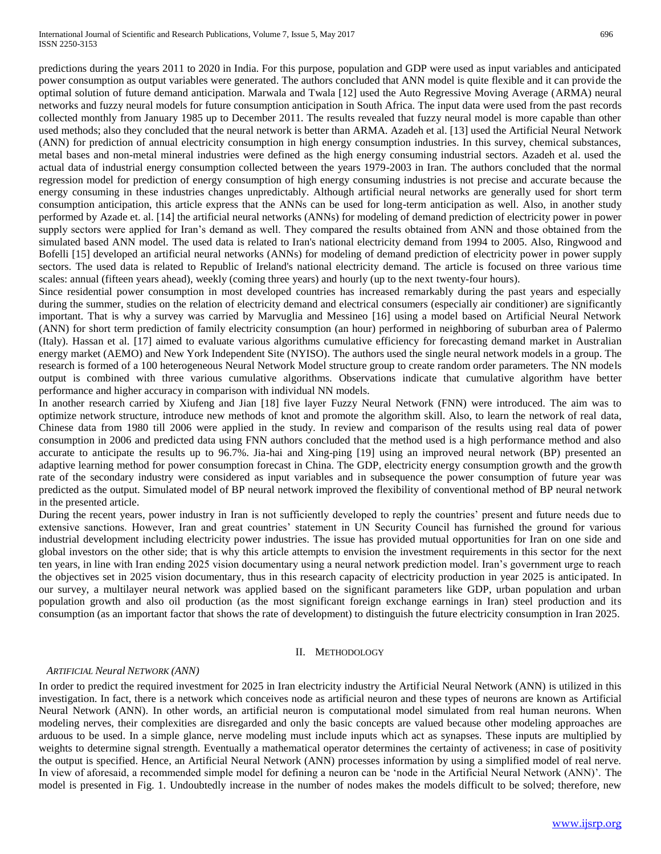predictions during the years 2011 to 2020 in India. For this purpose, population and GDP were used as input variables and anticipated power consumption as output variables were generated. The authors concluded that ANN model is quite flexible and it can provide the optimal solution of future demand anticipation. Marwala and Twala [12] used the Auto Regressive Moving Average (ARMA) neural networks and fuzzy neural models for future consumption anticipation in South Africa. The input data were used from the past records collected monthly from January 1985 up to December 2011. The results revealed that fuzzy neural model is more capable than other used methods; also they concluded that the neural network is better than ARMA. Azadeh et al. [13] used the Artificial Neural Network (ANN) for prediction of annual electricity consumption in high energy consumption industries. In this survey, chemical substances, metal bases and non-metal mineral industries were defined as the high energy consuming industrial sectors. Azadeh et al. used the actual data of industrial energy consumption collected between the years 1979-2003 in Iran. The authors concluded that the normal regression model for prediction of energy consumption of high energy consuming industries is not precise and accurate because the energy consuming in these industries changes unpredictably. Although artificial neural networks are generally used for short term consumption anticipation, this article express that the ANNs can be used for long-term anticipation as well. Also, in another study performed by Azade et. al. [14] the artificial neural networks (ANNs) for modeling of demand prediction of electricity power in power supply sectors were applied for Iran's demand as well. They compared the results obtained from ANN and those obtained from the simulated based ANN model. The used data is related to Iran's national electricity demand from 1994 to 2005. Also, Ringwood and Bofelli [15] developed an artificial neural networks (ANNs) for modeling of demand prediction of electricity power in power supply sectors. The used data is related to Republic of Ireland's national electricity demand. The article is focused on three various time scales: annual (fifteen years ahead), weekly (coming three years) and hourly (up to the next twenty-four hours).

Since residential power consumption in most developed countries has increased remarkably during the past years and especially during the summer, studies on the relation of electricity demand and electrical consumers (especially air conditioner) are significantly important. That is why a survey was carried by Marvuglia and Messineo [16] using a model based on Artificial Neural Network (ANN) for short term prediction of family electricity consumption (an hour) performed in neighboring of suburban area of Palermo (Italy). Hassan et al. [17] aimed to evaluate various algorithms cumulative efficiency for forecasting demand market in Australian energy market (AEMO) and New York Independent Site (NYISO). The authors used the single neural network models in a group. The research is formed of a 100 heterogeneous Neural Network Model structure group to create random order parameters. The NN models output is combined with three various cumulative algorithms. Observations indicate that cumulative algorithm have better performance and higher accuracy in comparison with individual NN models.

In another research carried by Xiufeng and Jian [18] five layer Fuzzy Neural Network (FNN) were introduced. The aim was to optimize network structure, introduce new methods of knot and promote the algorithm skill. Also, to learn the network of real data, Chinese data from 1980 till 2006 were applied in the study. In review and comparison of the results using real data of power consumption in 2006 and predicted data using FNN authors concluded that the method used is a high performance method and also accurate to anticipate the results up to 96.7%. Jia-hai and Xing-ping [19] using an improved neural network (BP) presented an adaptive learning method for power consumption forecast in China. The GDP, electricity energy consumption growth and the growth rate of the secondary industry were considered as input variables and in subsequence the power consumption of future year was predicted as the output. Simulated model of BP neural network improved the flexibility of conventional method of BP neural network in the presented article.

During the recent years, power industry in Iran is not sufficiently developed to reply the countries' present and future needs due to extensive sanctions. However, Iran and great countries' statement in UN Security Council has furnished the ground for various industrial development including electricity power industries. The issue has provided mutual opportunities for Iran on one side and global investors on the other side; that is why this article attempts to envision the investment requirements in this sector for the next ten years, in line with Iran ending 2025 vision documentary using a neural network prediction model. Iran's government urge to reach the objectives set in 2025 vision documentary, thus in this research capacity of electricity production in year 2025 is anticipated. In our survey, a multilayer neural network was applied based on the significant parameters like GDP, urban population and urban population growth and also oil production (as the most significant foreign exchange earnings in Iran) steel production and its consumption (as an important factor that shows the rate of development) to distinguish the future electricity consumption in Iran 2025.

#### II. METHODOLOGY

#### *ARTIFICIAL Neural NETWORK (ANN)*

In order to predict the required investment for 2025 in Iran electricity industry the Artificial Neural Network (ANN) is utilized in this investigation. In fact, there is a network which conceives node as artificial neuron and these types of neurons are known as Artificial Neural Network (ANN). In other words, an artificial neuron is computational model simulated from real human neurons. When modeling nerves, their complexities are disregarded and only the basic concepts are valued because other modeling approaches are arduous to be used. In a simple glance, nerve modeling must include inputs which act as synapses. These inputs are multiplied by weights to determine signal strength. Eventually a mathematical operator determines the certainty of activeness; in case of positivity the output is specified. Hence, an Artificial Neural Network (ANN) processes information by using a simplified model of real nerve. In view of aforesaid, a recommended simple model for defining a neuron can be 'node in the Artificial Neural Network (ANN)'. The model is presented in Fig. 1. Undoubtedly increase in the number of nodes makes the models difficult to be solved; therefore, new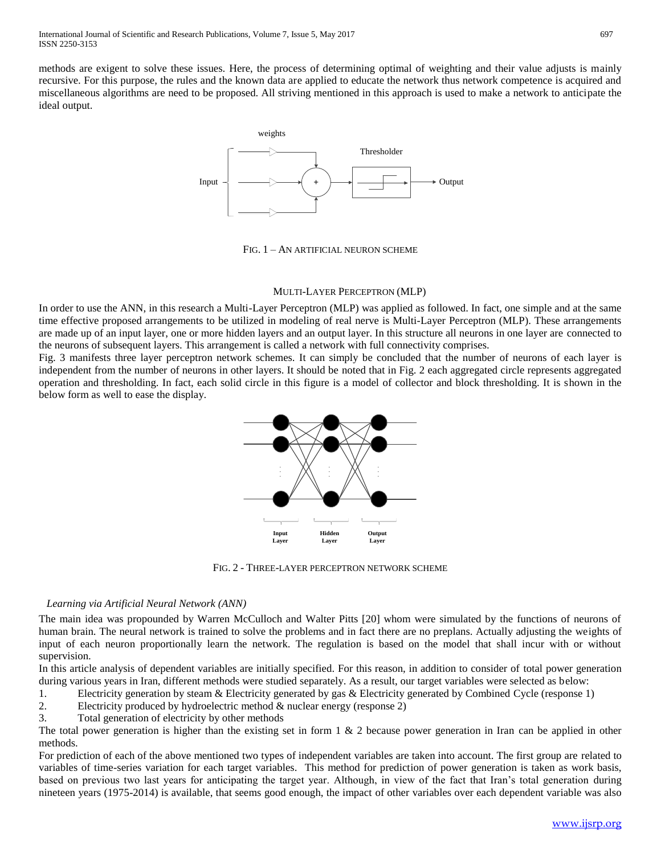methods are exigent to solve these issues. Here, the process of determining optimal of weighting and their value adjusts is mainly recursive. For this purpose, the rules and the known data are applied to educate the network thus network competence is acquired and miscellaneous algorithms are need to be proposed. All striving mentioned in this approach is used to make a network to anticipate the ideal output.



FIG. 1 – AN ARTIFICIAL NEURON SCHEME

# MULTI-LAYER PERCEPTRON (MLP)

In order to use the ANN, in this research a Multi-Layer Perceptron (MLP) was applied as followed. In fact, one simple and at the same time effective proposed arrangements to be utilized in modeling of real nerve is Multi-Layer Perceptron (MLP). These arrangements are made up of an input layer, one or more hidden layers and an output layer. In this structure all neurons in one layer are connected to the neurons of subsequent layers. This arrangement is called a network with full connectivity comprises.

Fig. 3 manifests three layer perceptron network schemes. It can simply be concluded that the number of neurons of each layer is independent from the number of neurons in other layers. It should be noted that in Fig. 2 each aggregated circle represents aggregated operation and thresholding. In fact, each solid circle in this figure is a model of collector and block thresholding. It is shown in the below form as well to ease the display.



FIG. 2 - THREE-LAYER PERCEPTRON NETWORK SCHEME

# *Learning via Artificial Neural Network (ANN)*

The main idea was propounded by Warren McCulloch and Walter Pitts [20] whom were simulated by the functions of neurons of human brain. The neural network is trained to solve the problems and in fact there are no preplans. Actually adjusting the weights of input of each neuron proportionally learn the network. The regulation is based on the model that shall incur with or without supervision.

In this article analysis of dependent variables are initially specified. For this reason, in addition to consider of total power generation during various years in Iran, different methods were studied separately. As a result, our target variables were selected as below:

- 1. Electricity generation by steam & Electricity generated by gas & Electricity generated by Combined Cycle (response 1)
- 2. Electricity produced by hydroelectric method & nuclear energy (response 2)
- 3. Total generation of electricity by other methods

The total power generation is higher than the existing set in form  $1 \& 2$  because power generation in Iran can be applied in other methods.

For prediction of each of the above mentioned two types of independent variables are taken into account. The first group are related to variables of time-series variation for each target variables. This method for prediction of power generation is taken as work basis, based on previous two last years for anticipating the target year. Although, in view of the fact that Iran's total generation during nineteen years (1975-2014) is available, that seems good enough, the impact of other variables over each dependent variable was also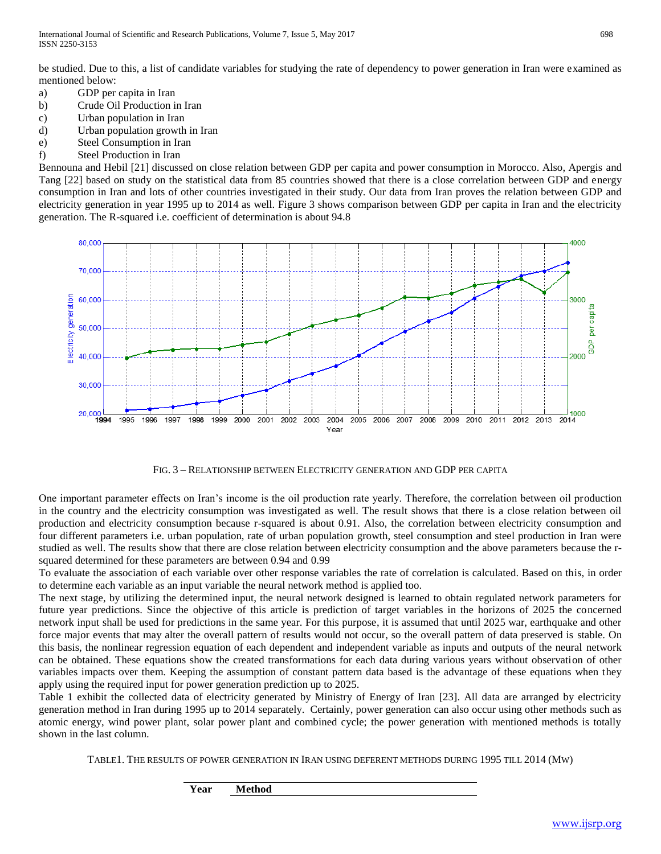be studied. Due to this, a list of candidate variables for studying the rate of dependency to power generation in Iran were examined as mentioned below:

- a) GDP per capita in Iran
- b) Crude Oil Production in Iran
- c) Urban population in Iran
- d) Urban population growth in Iran
- e) Steel Consumption in Iran
- f) Steel Production in Iran

Bennouna and Hebil [21] discussed on close relation between GDP per capita and power consumption in Morocco. Also, Apergis and Tang [22] based on study on the statistical data from 85 countries showed that there is a close correlation between GDP and energy consumption in Iran and lots of other countries investigated in their study. Our data from Iran proves the relation between GDP and electricity generation in year 1995 up to 2014 as well. Figure 3 shows comparison between GDP per capita in Iran and the electricity generation. The R-squared i.e. coefficient of determination is about 94.8



FIG. 3 – RELATIONSHIP BETWEEN ELECTRICITY GENERATION AND GDP PER CAPITA

One important parameter effects on Iran's income is the oil production rate yearly. Therefore, the correlation between oil production in the country and the electricity consumption was investigated as well. The result shows that there is a close relation between oil production and electricity consumption because r-squared is about 0.91. Also, the correlation between electricity consumption and four different parameters i.e. urban population, rate of urban population growth, steel consumption and steel production in Iran were studied as well. The results show that there are close relation between electricity consumption and the above parameters because the rsquared determined for these parameters are between 0.94 and 0.99

To evaluate the association of each variable over other response variables the rate of correlation is calculated. Based on this, in order to determine each variable as an input variable the neural network method is applied too.

The next stage, by utilizing the determined input, the neural network designed is learned to obtain regulated network parameters for future year predictions. Since the objective of this article is prediction of target variables in the horizons of 2025 the concerned network input shall be used for predictions in the same year. For this purpose, it is assumed that until 2025 war, earthquake and other force major events that may alter the overall pattern of results would not occur, so the overall pattern of data preserved is stable. On this basis, the nonlinear regression equation of each dependent and independent variable as inputs and outputs of the neural network can be obtained. These equations show the created transformations for each data during various years without observation of other variables impacts over them. Keeping the assumption of constant pattern data based is the advantage of these equations when they apply using the required input for power generation prediction up to 2025.

Table 1 exhibit the collected data of electricity generated by Ministry of Energy of Iran [23]. All data are arranged by electricity generation method in Iran during 1995 up to 2014 separately. Certainly, power generation can also occur using other methods such as atomic energy, wind power plant, solar power plant and combined cycle; the power generation with mentioned methods is totally shown in the last column.

TABLE1. THE RESULTS OF POWER GENERATION IN IRAN USING DEFERENT METHODS DURING 1995 TILL 2014 (MW)

**Year Method**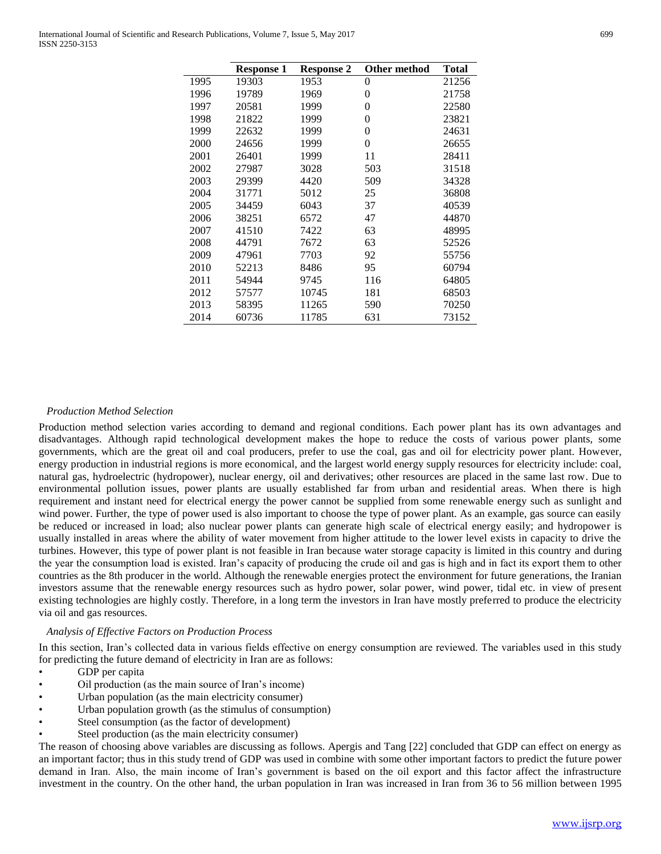| <b>Response 2</b><br>Other method<br>Total<br><b>Response 1</b><br>1995<br>1953<br>0<br>21256<br>19303<br>19789<br>1969<br>21758<br>1996<br>0<br>1997<br>20581<br>1999<br>22580<br>0<br>1998<br>21822<br>1999<br>23821<br>0<br>1999<br>22632<br>1999<br>24631<br>0<br>1999<br>2000<br>24656<br>0<br>26655<br>1999<br>11<br>2001<br>26401<br>28411<br>31518<br>2002<br>27987<br>3028<br>503<br>2003<br>509<br>29399<br>4420<br>34328<br>2004<br>31771<br>5012<br>25<br>36808<br>2005<br>34459<br>6043<br>37<br>40539<br>2006<br>38251<br>6572<br>47<br>44870<br>2007<br>41510<br>7422<br>63<br>48995<br>2008<br>44791<br>7672<br>63<br>52526<br>2009<br>7703<br>55756<br>47961<br>92<br>2010<br>95<br>60794<br>52213<br>8486<br>2011<br>116<br>54944<br>9745<br>64805<br>2012<br>181<br>57577<br>10745<br>68503<br>11265<br>70250<br>2013<br>58395<br>590<br>11785<br>2014<br>60736<br>631<br>73152 |  |  |  |
|----------------------------------------------------------------------------------------------------------------------------------------------------------------------------------------------------------------------------------------------------------------------------------------------------------------------------------------------------------------------------------------------------------------------------------------------------------------------------------------------------------------------------------------------------------------------------------------------------------------------------------------------------------------------------------------------------------------------------------------------------------------------------------------------------------------------------------------------------------------------------------------------------|--|--|--|
|                                                                                                                                                                                                                                                                                                                                                                                                                                                                                                                                                                                                                                                                                                                                                                                                                                                                                                    |  |  |  |
|                                                                                                                                                                                                                                                                                                                                                                                                                                                                                                                                                                                                                                                                                                                                                                                                                                                                                                    |  |  |  |
|                                                                                                                                                                                                                                                                                                                                                                                                                                                                                                                                                                                                                                                                                                                                                                                                                                                                                                    |  |  |  |
|                                                                                                                                                                                                                                                                                                                                                                                                                                                                                                                                                                                                                                                                                                                                                                                                                                                                                                    |  |  |  |
|                                                                                                                                                                                                                                                                                                                                                                                                                                                                                                                                                                                                                                                                                                                                                                                                                                                                                                    |  |  |  |
|                                                                                                                                                                                                                                                                                                                                                                                                                                                                                                                                                                                                                                                                                                                                                                                                                                                                                                    |  |  |  |
|                                                                                                                                                                                                                                                                                                                                                                                                                                                                                                                                                                                                                                                                                                                                                                                                                                                                                                    |  |  |  |
|                                                                                                                                                                                                                                                                                                                                                                                                                                                                                                                                                                                                                                                                                                                                                                                                                                                                                                    |  |  |  |
|                                                                                                                                                                                                                                                                                                                                                                                                                                                                                                                                                                                                                                                                                                                                                                                                                                                                                                    |  |  |  |
|                                                                                                                                                                                                                                                                                                                                                                                                                                                                                                                                                                                                                                                                                                                                                                                                                                                                                                    |  |  |  |
|                                                                                                                                                                                                                                                                                                                                                                                                                                                                                                                                                                                                                                                                                                                                                                                                                                                                                                    |  |  |  |
|                                                                                                                                                                                                                                                                                                                                                                                                                                                                                                                                                                                                                                                                                                                                                                                                                                                                                                    |  |  |  |
|                                                                                                                                                                                                                                                                                                                                                                                                                                                                                                                                                                                                                                                                                                                                                                                                                                                                                                    |  |  |  |
|                                                                                                                                                                                                                                                                                                                                                                                                                                                                                                                                                                                                                                                                                                                                                                                                                                                                                                    |  |  |  |
|                                                                                                                                                                                                                                                                                                                                                                                                                                                                                                                                                                                                                                                                                                                                                                                                                                                                                                    |  |  |  |
|                                                                                                                                                                                                                                                                                                                                                                                                                                                                                                                                                                                                                                                                                                                                                                                                                                                                                                    |  |  |  |
|                                                                                                                                                                                                                                                                                                                                                                                                                                                                                                                                                                                                                                                                                                                                                                                                                                                                                                    |  |  |  |
|                                                                                                                                                                                                                                                                                                                                                                                                                                                                                                                                                                                                                                                                                                                                                                                                                                                                                                    |  |  |  |
|                                                                                                                                                                                                                                                                                                                                                                                                                                                                                                                                                                                                                                                                                                                                                                                                                                                                                                    |  |  |  |
|                                                                                                                                                                                                                                                                                                                                                                                                                                                                                                                                                                                                                                                                                                                                                                                                                                                                                                    |  |  |  |
|                                                                                                                                                                                                                                                                                                                                                                                                                                                                                                                                                                                                                                                                                                                                                                                                                                                                                                    |  |  |  |

#### *Production Method Selection*

Production method selection varies according to demand and regional conditions. Each power plant has its own advantages and disadvantages. Although rapid technological development makes the hope to reduce the costs of various power plants, some governments, which are the great oil and coal producers, prefer to use the coal, gas and oil for electricity power plant. However, energy production in industrial regions is more economical, and the largest world energy supply resources for electricity include: coal, natural gas, hydroelectric (hydropower), nuclear energy, oil and derivatives; other resources are placed in the same last row. Due to environmental pollution issues, power plants are usually established far from urban and residential areas. When there is high requirement and instant need for electrical energy the power cannot be supplied from some renewable energy such as sunlight and wind power. Further, the type of power used is also important to choose the type of power plant. As an example, gas source can easily be reduced or increased in load; also nuclear power plants can generate high scale of electrical energy easily; and hydropower is usually installed in areas where the ability of water movement from higher attitude to the lower level exists in capacity to drive the turbines. However, this type of power plant is not feasible in Iran because water storage capacity is limited in this country and during the year the consumption load is existed. Iran's capacity of producing the crude oil and gas is high and in fact its export them to other countries as the 8th producer in the world. Although the renewable energies protect the environment for future generations, the Iranian investors assume that the renewable energy resources such as hydro power, solar power, wind power, tidal etc. in view of present existing technologies are highly costly. Therefore, in a long term the investors in Iran have mostly preferred to produce the electricity via oil and gas resources.

# *Analysis of Effective Factors on Production Process*

In this section, Iran's collected data in various fields effective on energy consumption are reviewed. The variables used in this study for predicting the future demand of electricity in Iran are as follows:

- GDP per capita
- Oil production (as the main source of Iran's income)
- Urban population (as the main electricity consumer)
- Urban population growth (as the stimulus of consumption)
- Steel consumption (as the factor of development)
- Steel production (as the main electricity consumer)

The reason of choosing above variables are discussing as follows. Apergis and Tang [22] concluded that GDP can effect on energy as an important factor; thus in this study trend of GDP was used in combine with some other important factors to predict the future power demand in Iran. Also, the main income of Iran's government is based on the oil export and this factor affect the infrastructure investment in the country. On the other hand, the urban population in Iran was increased in Iran from 36 to 56 million between 1995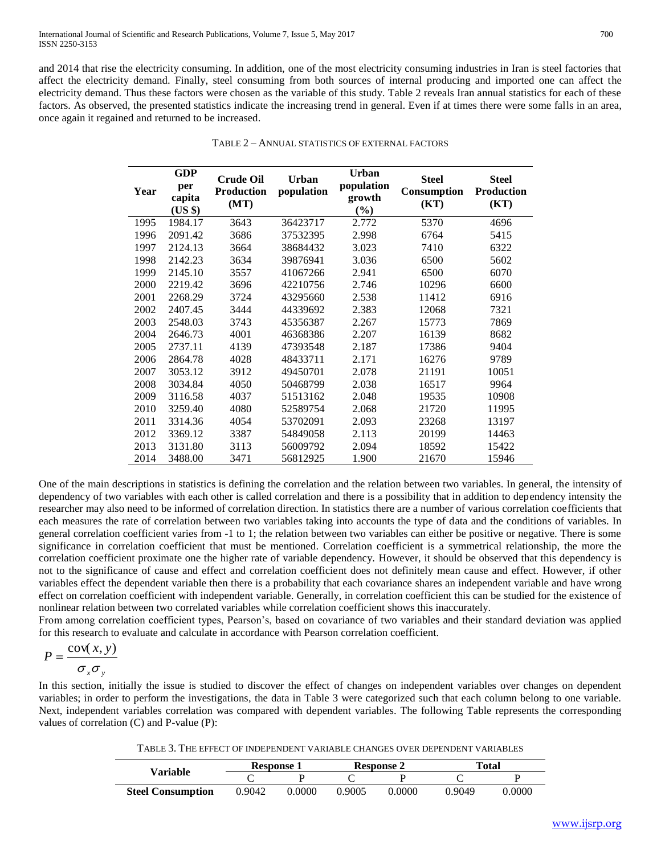and 2014 that rise the electricity consuming. In addition, one of the most electricity consuming industries in Iran is steel factories that affect the electricity demand. Finally, steel consuming from both sources of internal producing and imported one can affect the electricity demand. Thus these factors were chosen as the variable of this study. Table 2 reveals Iran annual statistics for each of these factors. As observed, the presented statistics indicate the increasing trend in general. Even if at times there were some falls in an area, once again it regained and returned to be increased.

| Year | <b>GDP</b><br>per<br>capita<br>(US \$) | <b>Crude Oil</b><br><b>Production</b><br>(MT) | <b>Urban</b><br>population | <b>Urban</b><br>population<br>growth<br>(%) | <b>Steel</b><br>Consumption<br>(KT) | <b>Steel</b><br><b>Production</b><br>(KT) |
|------|----------------------------------------|-----------------------------------------------|----------------------------|---------------------------------------------|-------------------------------------|-------------------------------------------|
| 1995 | 1984.17                                | 3643                                          | 36423717                   | 2.772                                       | 5370                                | 4696                                      |
| 1996 | 2091.42                                | 3686                                          | 37532395                   | 2.998                                       | 6764                                | 5415                                      |
| 1997 | 2124.13                                | 3664                                          | 38684432                   | 3.023                                       | 7410                                | 6322                                      |
| 1998 | 2142.23                                | 3634                                          | 39876941                   | 3.036                                       | 6500                                | 5602                                      |
| 1999 | 2145.10                                | 3557                                          | 41067266                   | 2.941                                       | 6500                                | 6070                                      |
| 2000 | 2219.42                                | 3696                                          | 42210756                   | 2.746                                       | 10296                               | 6600                                      |
| 2001 | 2268.29                                | 3724                                          | 43295660                   | 2.538                                       | 11412                               | 6916                                      |
| 2002 | 2407.45                                | 3444                                          | 44339692                   | 2.383                                       | 12068                               | 7321                                      |
| 2003 | 2548.03                                | 3743                                          | 45356387                   | 2.267                                       | 15773                               | 7869                                      |
| 2004 | 2646.73                                | 4001                                          | 46368386                   | 2.207                                       | 16139                               | 8682                                      |
| 2005 | 2737.11                                | 4139                                          | 47393548                   | 2.187                                       | 17386                               | 9404                                      |
| 2006 | 2864.78                                | 4028                                          | 48433711                   | 2.171                                       | 16276                               | 9789                                      |
| 2007 | 3053.12                                | 3912                                          | 49450701                   | 2.078                                       | 21191                               | 10051                                     |
| 2008 | 3034.84                                | 4050                                          | 50468799                   | 2.038                                       | 16517                               | 9964                                      |
| 2009 | 3116.58                                | 4037                                          | 51513162                   | 2.048                                       | 19535                               | 10908                                     |
| 2010 | 3259.40                                | 4080                                          | 52589754                   | 2.068                                       | 21720                               | 11995                                     |
| 2011 | 3314.36                                | 4054                                          | 53702091                   | 2.093                                       | 23268                               | 13197                                     |
| 2012 | 3369.12                                | 3387                                          | 54849058                   | 2.113                                       | 20199                               | 14463                                     |
| 2013 | 3131.80                                | 3113                                          | 56009792                   | 2.094                                       | 18592                               | 15422                                     |
| 2014 | 3488.00                                | 3471                                          | 56812925                   | 1.900                                       | 21670                               | 15946                                     |

|  |  | TABLE 2 – ANNUAL STATISTICS OF EXTERNAL FACTORS |
|--|--|-------------------------------------------------|
|--|--|-------------------------------------------------|

One of the main descriptions in statistics is defining the correlation and the relation between two variables. In general, the intensity of dependency of two variables with each other is called correlation and there is a possibility that in addition to dependency intensity the researcher may also need to be informed of correlation direction. In statistics there are a number of various correlation coefficients that each measures the rate of correlation between two variables taking into accounts the type of data and the conditions of variables. In general correlation coefficient varies from -1 to 1; the relation between two variables can either be positive or negative. There is some significance in correlation coefficient that must be mentioned. Correlation coefficient is a symmetrical relationship, the more the correlation coefficient proximate one the higher rate of variable dependency. However, it should be observed that this dependency is not to the significance of cause and effect and correlation coefficient does not definitely mean cause and effect. However, if other variables effect the dependent variable then there is a probability that each covariance shares an independent variable and have wrong effect on correlation coefficient with independent variable. Generally, in correlation coefficient this can be studied for the existence of nonlinear relation between two correlated variables while correlation coefficient shows this inaccurately.

From among correlation coefficient types, Pearson's, based on covariance of two variables and their standard deviation was applied for this research to evaluate and calculate in accordance with Pearson correlation coefficient.

$$
P = \frac{\text{cov}(x, y)}{\sigma_x \sigma_y}
$$

In this section, initially the issue is studied to discover the effect of changes on independent variables over changes on dependent variables; in order to perform the investigations, the data in Table 3 were categorized such that each column belong to one variable. Next, independent variables correlation was compared with dependent variables. The following Table represents the corresponding values of correlation (C) and P-value (P):

TABLE 3. THE EFFECT OF INDEPENDENT VARIABLE CHANGES OVER DEPENDENT VARIABLES

| <b>Variable</b>          | <b>Response 1</b> |        | <b>Response 2</b> |        | Total  |        |
|--------------------------|-------------------|--------|-------------------|--------|--------|--------|
|                          |                   |        |                   |        |        |        |
| <b>Steel Consumption</b> | 0.9042            | 0.0000 | 0.9005            | 0.0000 | 0.9049 | 9.0000 |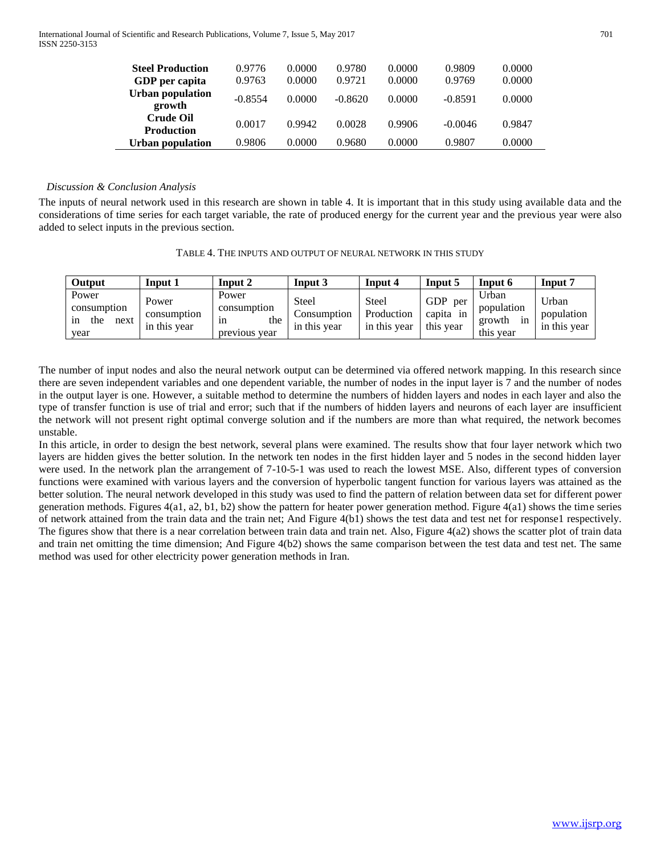| <b>Steel Production</b><br>GDP per capita | 0.9776<br>0.9763 | 0.0000<br>0.0000 | 0.9780<br>0.9721 | 0.0000<br>0.0000 | 0.9809<br>0.9769 | 0.0000<br>0.0000 |
|-------------------------------------------|------------------|------------------|------------------|------------------|------------------|------------------|
| <b>Urban population</b><br>growth         | $-0.8554$        | 0.0000           | $-0.8620$        | 0.0000           | $-0.8591$        | 0.0000           |
| <b>Crude Oil</b><br><b>Production</b>     | 0.0017           | 0.9942           | 0.0028           | 0.9906           | $-0.0046$        | 0.9847           |
| Urban population                          | 0.9806           | 0.0000           | 0.9680           | 0.0000           | 0.9807           | 0.0000           |

# *Discussion & Conclusion Analysis*

The inputs of neural network used in this research are shown in table 4. It is important that in this study using available data and the considerations of time series for each target variable, the rate of produced energy for the current year and the previous year were also added to select inputs in the previous section.

| Output                                            | Input 1                              | Input 2                                            | Input 3                                      | Input 4                             | Input 5                                     | Input 6                                          | Input 7                             |
|---------------------------------------------------|--------------------------------------|----------------------------------------------------|----------------------------------------------|-------------------------------------|---------------------------------------------|--------------------------------------------------|-------------------------------------|
| Power<br>consumption<br>the<br>next<br>ın<br>year | Power<br>consumption<br>in this year | Power<br>consumption<br>the<br>1n<br>previous year | <b>Steel</b><br>.)onsumption<br>in this year | Steel<br>Production<br>in this year | <b>GDP</b><br>per<br>capita in<br>this year | Urban<br>population<br>growth<br>1n<br>this year | Urban<br>population<br>in this year |

The number of input nodes and also the neural network output can be determined via offered network mapping. In this research since there are seven independent variables and one dependent variable, the number of nodes in the input layer is 7 and the number of nodes in the output layer is one. However, a suitable method to determine the numbers of hidden layers and nodes in each layer and also the type of transfer function is use of trial and error; such that if the numbers of hidden layers and neurons of each layer are insufficient the network will not present right optimal converge solution and if the numbers are more than what required, the network becomes unstable.

In this article, in order to design the best network, several plans were examined. The results show that four layer network which two layers are hidden gives the better solution. In the network ten nodes in the first hidden layer and 5 nodes in the second hidden layer were used. In the network plan the arrangement of 7-10-5-1 was used to reach the lowest MSE. Also, different types of conversion functions were examined with various layers and the conversion of hyperbolic tangent function for various layers was attained as the better solution. The neural network developed in this study was used to find the pattern of relation between data set for different power generation methods. Figures  $4(a1, a2, b1, b2)$  show the pattern for heater power generation method. Figure  $4(a1)$  shows the time series of network attained from the train data and the train net; And Figure 4(b1) shows the test data and test net for response1 respectively. The figures show that there is a near correlation between train data and train net. Also, Figure 4(a2) shows the scatter plot of train data and train net omitting the time dimension; And Figure 4(b2) shows the same comparison between the test data and test net. The same method was used for other electricity power generation methods in Iran.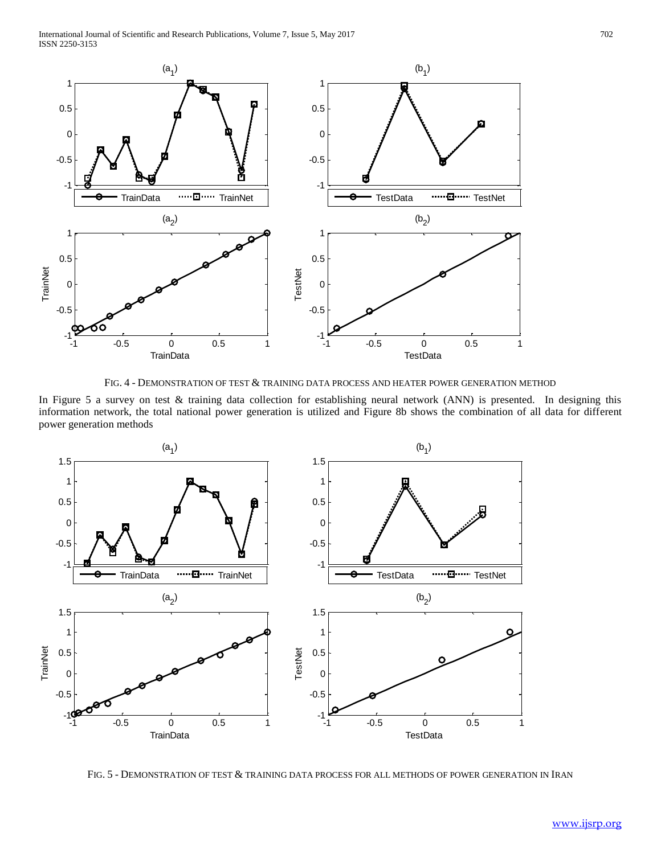

FIG. 4 - DEMONSTRATION OF TEST & TRAINING DATA PROCESS AND HEATER POWER GENERATION METHOD

In Figure 5 a survey on test & training data collection for establishing neural network (ANN) is presented. In designing this information network, the total national power generation is utilized and Figure 8b shows the combination of all data for different power generation methods



FIG. 5 - DEMONSTRATION OF TEST & TRAINING DATA PROCESS FOR ALL METHODS OF POWER GENERATION IN IRAN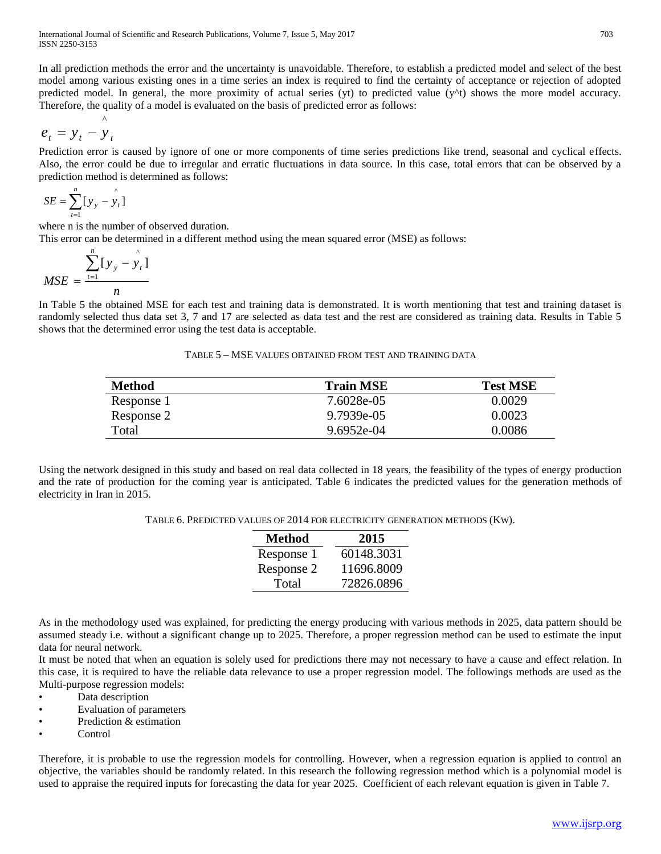In all prediction methods the error and the uncertainty is unavoidable. Therefore, to establish a predicted model and select of the best model among various existing ones in a time series an index is required to find the certainty of acceptance or rejection of adopted predicted model. In general, the more proximity of actual series (yt) to predicted value  $(y^{\wedge}t)$  shows the more model accuracy. Therefore, the quality of a model is evaluated on the basis of predicted error as follows:

$$
e_t = y_t - \overset{\wedge}{y}_t
$$

Prediction error is caused by ignore of one or more components of time series predictions like trend, seasonal and cyclical effects. Also, the error could be due to irregular and erratic fluctuations in data source. In this case, total errors that can be observed by a prediction method is determined as follows:

$$
SE = \sum_{t=1}^{n} [y_y - \hat{y}_t]
$$

where n is the number of observed duration.

This error can be determined in a different method using the mean squared error (MSE) as follows:

$$
MSE = \frac{\sum_{t=1}^{n} [y_y - \hat{y}_t]}{n}
$$

In Table 5 the obtained MSE for each test and training data is demonstrated. It is worth mentioning that test and training dataset is randomly selected thus data set 3, 7 and 17 are selected as data test and the rest are considered as training data. Results in Table 5 shows that the determined error using the test data is acceptable.

| Method     | <b>Train MSE</b> | <b>Test MSE</b> |
|------------|------------------|-----------------|
| Response 1 | 7.6028e-05       | 0.0029          |
| Response 2 | 9.7939e-05       | 0.0023          |
| Total      | 9.6952e-04       | 0.0086          |

Using the network designed in this study and based on real data collected in 18 years, the feasibility of the types of energy production and the rate of production for the coming year is anticipated. Table 6 indicates the predicted values for the generation methods of electricity in Iran in 2015.

TABLE 6. PREDICTED VALUES OF 2014 FOR ELECTRICITY GENERATION METHODS (KW).

| <b>Method</b> | 2015       |
|---------------|------------|
| Response 1    | 60148.3031 |
| Response 2    | 11696.8009 |
| Total         | 72826.0896 |

As in the methodology used was explained, for predicting the energy producing with various methods in 2025, data pattern should be assumed steady i.e. without a significant change up to 2025. Therefore, a proper regression method can be used to estimate the input data for neural network.

It must be noted that when an equation is solely used for predictions there may not necessary to have a cause and effect relation. In this case, it is required to have the reliable data relevance to use a proper regression model. The followings methods are used as the Multi-purpose regression models:

- Data description
- Evaluation of parameters
- Prediction & estimation
- Control

Therefore, it is probable to use the regression models for controlling. However, when a regression equation is applied to control an objective, the variables should be randomly related. In this research the following regression method which is a polynomial model is used to appraise the required inputs for forecasting the data for year 2025. Coefficient of each relevant equation is given in Table 7.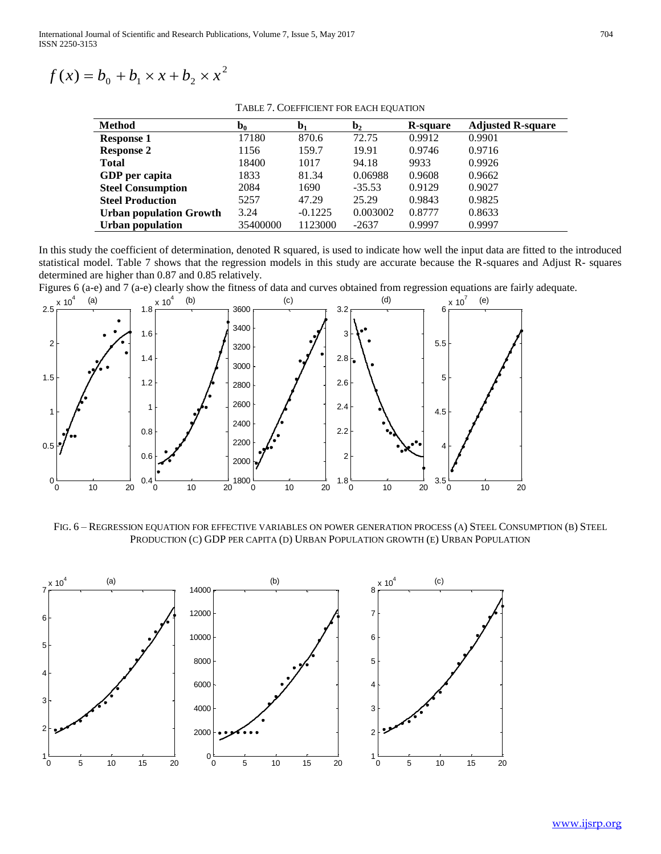$$
f(x) = b_0 + b_1 \times x + b_2 \times x^2
$$

TABLE 7. COEFFICIENT FOR EACH EQUATION

| <b>Method</b>                  | $\mathbf{b}_0$ | b <sub>1</sub> | $\mathbf{b}_2$ | R-square | <b>Adjusted R-square</b> |
|--------------------------------|----------------|----------------|----------------|----------|--------------------------|
| <b>Response 1</b>              | 17180          | 870.6          | 72.75          | 0.9912   | 0.9901                   |
| <b>Response 2</b>              | 1156           | 159.7          | 19.91          | 0.9746   | 0.9716                   |
| <b>Total</b>                   | 18400          | 1017           | 94.18          | 9933     | 0.9926                   |
| GDP per capita                 | 1833           | 81.34          | 0.06988        | 0.9608   | 0.9662                   |
| <b>Steel Consumption</b>       | 2084           | 1690           | $-35.53$       | 0.9129   | 0.9027                   |
| <b>Steel Production</b>        | 5257           | 47.29          | 25.29          | 0.9843   | 0.9825                   |
| <b>Urban population Growth</b> | 3.24           | $-0.1225$      | 0.003002       | 0.8777   | 0.8633                   |
| <b>Urban population</b>        | 35400000       | 1123000        | $-2637$        | 0.9997   | 0.9997                   |

In this study the coefficient of determination, denoted R squared, is used to indicate how well the input data are fitted to the introduced statistical model. Table 7 shows that the regression models in this study are accurate because the R-squares and Adjust R- squares determined are higher than 0.87 and 0.85 relatively.

Figures 6 (a-e) and 7 (a-e) clearly show the fitness of data and curves obtained from regression equations are fairly adequate.



FIG. 6 – REGRESSION EQUATION FOR EFFECTIVE VARIABLES ON POWER GENERATION PROCESS (A) STEEL CONSUMPTION (B) STEEL PRODUCTION (C) GDP PER CAPITA (D) URBAN POPULATION GROWTH (E) URBAN POPULATION

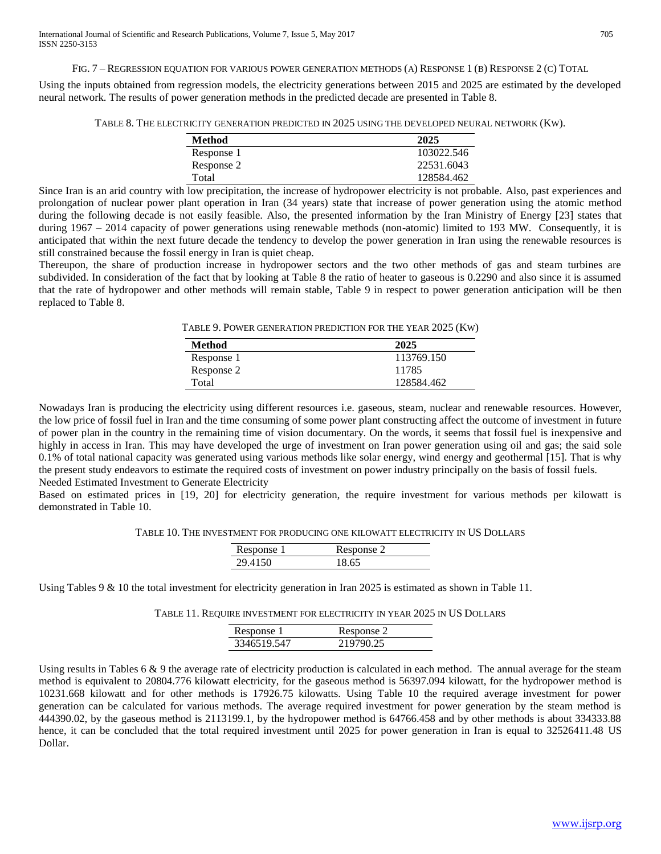FIG. 7 – REGRESSION EQUATION FOR VARIOUS POWER GENERATION METHODS (A) RESPONSE 1 (B) RESPONSE 2 (C) TOTAL

Using the inputs obtained from regression models, the electricity generations between 2015 and 2025 are estimated by the developed neural network. The results of power generation methods in the predicted decade are presented in Table 8.

TABLE 8. THE ELECTRICITY GENERATION PREDICTED IN 2025 USING THE DEVELOPED NEURAL NETWORK (KW).

| <b>Method</b> | 2025       |
|---------------|------------|
| Response 1    | 103022.546 |
| Response 2    | 22531.6043 |
| Total         | 128584.462 |

Since Iran is an arid country with low precipitation, the increase of hydropower electricity is not probable. Also, past experiences and prolongation of nuclear power plant operation in Iran (34 years) state that increase of power generation using the atomic method during the following decade is not easily feasible. Also, the presented information by the Iran Ministry of Energy [23] states that during  $1967 - 2014$  capacity of power generations using renewable methods (non-atomic) limited to 193 MW. Consequently, it is anticipated that within the next future decade the tendency to develop the power generation in Iran using the renewable resources is still constrained because the fossil energy in Iran is quiet cheap.

Thereupon, the share of production increase in hydropower sectors and the two other methods of gas and steam turbines are subdivided. In consideration of the fact that by looking at Table 8 the ratio of heater to gaseous is 0.2290 and also since it is assumed that the rate of hydropower and other methods will remain stable, Table 9 in respect to power generation anticipation will be then replaced to Table 8.

TABLE 9. POWER GENERATION PREDICTION FOR THE YEAR 2025 (KW)

| Method     | 2025       |
|------------|------------|
| Response 1 | 113769.150 |
| Response 2 | 11785      |
| Total      | 128584.462 |

Nowadays Iran is producing the electricity using different resources i.e. gaseous, steam, nuclear and renewable resources. However, the low price of fossil fuel in Iran and the time consuming of some power plant constructing affect the outcome of investment in future of power plan in the country in the remaining time of vision documentary. On the words, it seems that fossil fuel is inexpensive and highly in access in Iran. This may have developed the urge of investment on Iran power generation using oil and gas; the said sole 0.1% of total national capacity was generated using various methods like solar energy, wind energy and geothermal [15]. That is why the present study endeavors to estimate the required costs of investment on power industry principally on the basis of fossil fuels. Needed Estimated Investment to Generate Electricity

Based on estimated prices in [19, 20] for electricity generation, the require investment for various methods per kilowatt is demonstrated in Table 10.

TABLE 10. THE INVESTMENT FOR PRODUCING ONE KILOWATT ELECTRICITY IN US DOLLARS

| Response 1 | Response 2 |
|------------|------------|
| 29 4150    |            |

Using Tables 9 & 10 the total investment for electricity generation in Iran 2025 is estimated as shown in Table 11.

TABLE 11. REQUIRE INVESTMENT FOR ELECTRICITY IN YEAR 2025 IN US DOLLARS

|     | Response 1 | Response 2 |
|-----|------------|------------|
| 334 | 46519 547  | 90 25      |

Using results in Tables 6 & 9 the average rate of electricity production is calculated in each method. The annual average for the steam method is equivalent to 20804.776 kilowatt electricity, for the gaseous method is 56397.094 kilowatt, for the hydropower method is 10231.668 kilowatt and for other methods is 17926.75 kilowatts. Using Table 10 the required average investment for power generation can be calculated for various methods. The average required investment for power generation by the steam method is 444390.02, by the gaseous method is 2113199.1, by the hydropower method is 64766.458 and by other methods is about 334333.88 hence, it can be concluded that the total required investment until 2025 for power generation in Iran is equal to 32526411.48 US Dollar.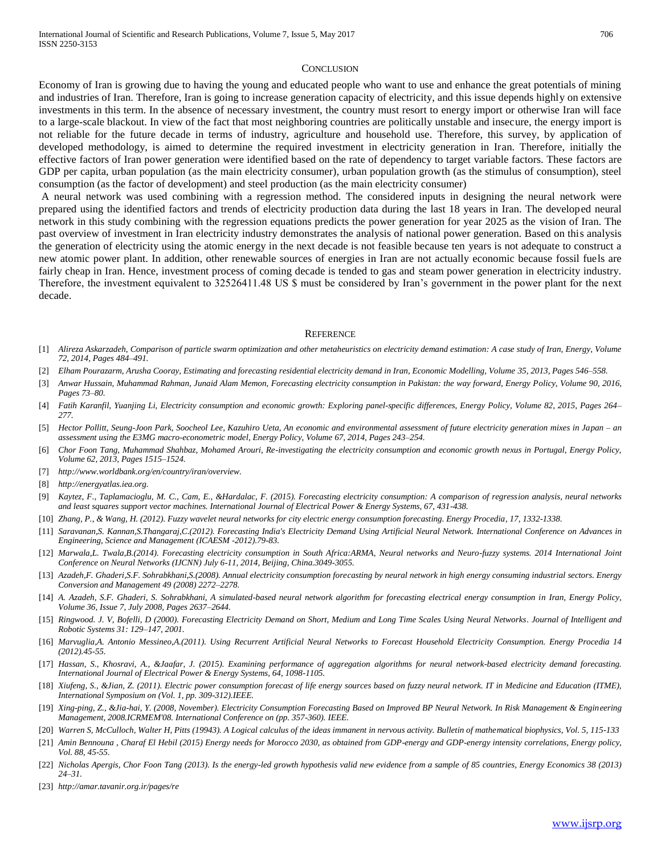#### **CONCLUSION**

Economy of Iran is growing due to having the young and educated people who want to use and enhance the great potentials of mining and industries of Iran. Therefore, Iran is going to increase generation capacity of electricity, and this issue depends highly on extensive investments in this term. In the absence of necessary investment, the country must resort to energy import or otherwise Iran will face to a large-scale blackout. In view of the fact that most neighboring countries are politically unstable and insecure, the energy import is not reliable for the future decade in terms of industry, agriculture and household use. Therefore, this survey, by application of developed methodology, is aimed to determine the required investment in electricity generation in Iran. Therefore, initially the effective factors of Iran power generation were identified based on the rate of dependency to target variable factors. These factors are GDP per capita, urban population (as the main electricity consumer), urban population growth (as the stimulus of consumption), steel consumption (as the factor of development) and steel production (as the main electricity consumer)

A neural network was used combining with a regression method. The considered inputs in designing the neural network were prepared using the identified factors and trends of electricity production data during the last 18 years in Iran. The developed neural network in this study combining with the regression equations predicts the power generation for year 2025 as the vision of Iran. The past overview of investment in Iran electricity industry demonstrates the analysis of national power generation. Based on this analysis the generation of electricity using the atomic energy in the next decade is not feasible because ten years is not adequate to construct a new atomic power plant. In addition, other renewable sources of energies in Iran are not actually economic because fossil fuels are fairly cheap in Iran. Hence, investment process of coming decade is tended to gas and steam power generation in electricity industry. Therefore, the investment equivalent to 32526411.48 US \$ must be considered by Iran's government in the power plant for the next decade.

#### **REFERENCE**

- [1] *Alireza Askarzadeh, Comparison of particle swarm optimization and other metaheuristics on electricity demand estimation: A case study of Iran, Energy, Volume 72, 2014, Pages 484–491.*
- [2] *Elham Pourazarm, Arusha Cooray, Estimating and forecasting residential electricity demand in Iran, Economic Modelling, Volume 35, 2013, Pages 546–558.*
- [3] *Anwar Hussain, Muhammad Rahman, Junaid Alam Memon, Forecasting electricity consumption in Pakistan: the way forward, Energy Policy, Volume 90, 2016, Pages 73–80.*
- [4] *Fatih Karanfil, Yuanjing Li, Electricity consumption and economic growth: Exploring panel-specific differences, Energy Policy, Volume 82, 2015, Pages 264– 277.*
- [5] *Hector Pollitt, Seung-Joon Park, Soocheol Lee, Kazuhiro Ueta, An economic and environmental assessment of future electricity generation mixes in Japan – an assessment using the E3MG macro-econometric model, Energy Policy, Volume 67, 2014, Pages 243–254.*
- [6] *Chor Foon Tang, Muhammad Shahbaz, Mohamed Arouri, Re-investigating the electricity consumption and economic growth nexus in Portugal, Energy Policy, Volume 62, 2013, Pages 1515–1524.*
- [7] *http://www.worldbank.org/en/country/iran/overview.*
- [8] *http://energyatlas.iea.org.*
- [9] *Kaytez, F., Taplamacioglu, M. C., Cam, E., &Hardalac, F. (2015). Forecasting electricity consumption: A comparison of regression analysis, neural networks and least squares support vector machines. International Journal of Electrical Power & Energy Systems, 67, 431-438.*
- [10] *Zhang, P., & Wang, H. (2012). Fuzzy wavelet neural networks for city electric energy consumption forecasting. Energy Procedia, 17, 1332-1338.*
- [11] *Saravanan,S. Kannan,S.Thangaraj,C.(2012). Forecasting India's Electricity Demand Using Artificial Neural Network. International Conference on Advances in Engineering, Science and Management (ICAESM -2012).79-83.*
- [12] *Marwala,L. Twala,B.(2014). Forecasting electricity consumption in South Africa:ARMA, Neural networks and Neuro-fuzzy systems. 2014 International Joint Conference on Neural Networks (IJCNN) July 6-11, 2014, Beijing, China.3049-3055.*
- [13] *Azadeh,F. Ghaderi,S.F. Sohrabkhani,S.(2008). Annual electricity consumption forecasting by neural network in high energy consuming industrial sectors. Energy Conversion and Management 49 (2008) 2272–2278.*
- [14] *A. Azadeh, S.F. Ghaderi, S. Sohrabkhani, A simulated-based neural network algorithm for forecasting electrical energy consumption in Iran, Energy Policy, Volume 36, Issue 7, July 2008, Pages 2637–2644.*
- [15] *Ringwood. J. V, Bofelli, D (2000). Forecasting Electricity Demand on Short, Medium and Long Time Scales Using Neural Networks. Journal of Intelligent and Robotic Systems 31: 129–147, 2001.*
- [16] *Marvuglia,A. Antonio Messineo,A.(2011). Using Recurrent Artificial Neural Networks to Forecast Household Electricity Consumption. Energy Procedia 14 (2012).45-55.*
- [17] Hassan, S., Khosravi, A., &Jaafar, J. (2015). Examining performance of aggregation algorithms for neural network-based electricity demand forecasting. *International Journal of Electrical Power & Energy Systems, 64, 1098-1105.*
- [18] *Xiufeng, S., &Jian, Z. (2011). Electric power consumption forecast of life energy sources based on fuzzy neural network. IT in Medicine and Education (ITME), International Symposium on (Vol. 1, pp. 309-312).IEEE.*
- [19] *Xing-ping, Z., &Jia-hai, Y. (2008, November). Electricity Consumption Forecasting Based on Improved BP Neural Network. In Risk Management & Engineering Management, 2008.ICRMEM'08. International Conference on (pp. 357-360). IEEE.*
- [20] *Warren S, McCulloch, Walter H, Pitts (19943). A Logical calculus of the ideas immanent in nervous activity. Bulletin of mathematical biophysics, Vol. 5, 115-133*
- [21] *Amin Bennouna , Charaf El Hebil (2015) Energy needs for Morocco 2030, as obtained from GDP-energy and GDP-energy intensity correlations, Energy policy, Vol. 88, 45-55.*
- [22] *Nicholas Apergis, Chor Foon Tang (2013). Is the energy-led growth hypothesis valid new evidence from a sample of 85 countries, Energy Economics 38 (2013) 24–31.*
- [23] *http://amar.tavanir.org.ir/pages/re*